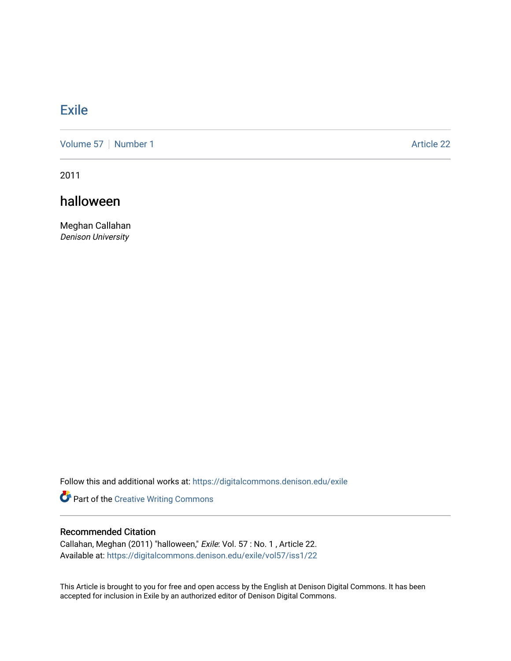# [Exile](https://digitalcommons.denison.edu/exile)

[Volume 57](https://digitalcommons.denison.edu/exile/vol57) | [Number 1](https://digitalcommons.denison.edu/exile/vol57/iss1) Article 22

2011

### halloween

Meghan Callahan Denison University

Follow this and additional works at: [https://digitalcommons.denison.edu/exile](https://digitalcommons.denison.edu/exile?utm_source=digitalcommons.denison.edu%2Fexile%2Fvol57%2Fiss1%2F22&utm_medium=PDF&utm_campaign=PDFCoverPages) 

Part of the [Creative Writing Commons](http://network.bepress.com/hgg/discipline/574?utm_source=digitalcommons.denison.edu%2Fexile%2Fvol57%2Fiss1%2F22&utm_medium=PDF&utm_campaign=PDFCoverPages) 

#### Recommended Citation

Callahan, Meghan (2011) "halloween," Exile: Vol. 57 : No. 1 , Article 22. Available at: [https://digitalcommons.denison.edu/exile/vol57/iss1/22](https://digitalcommons.denison.edu/exile/vol57/iss1/22?utm_source=digitalcommons.denison.edu%2Fexile%2Fvol57%2Fiss1%2F22&utm_medium=PDF&utm_campaign=PDFCoverPages)

This Article is brought to you for free and open access by the English at Denison Digital Commons. It has been accepted for inclusion in Exile by an authorized editor of Denison Digital Commons.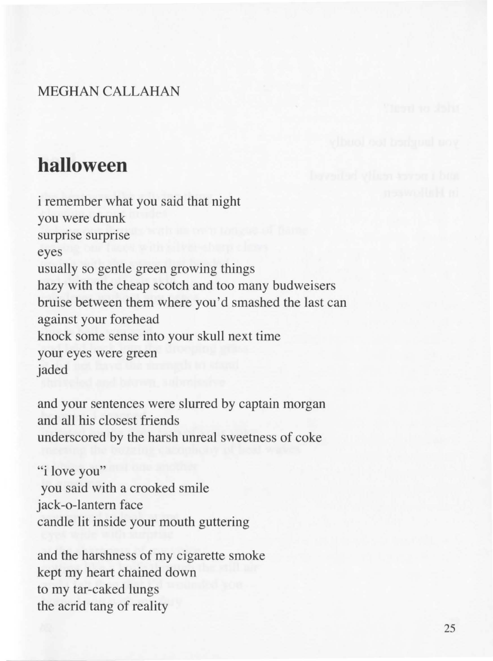### MEGHAN CALLAHAN

## **halloween**

i remember what you said that night you were drunk surprise surprise eyes usually so gentle green growing things hazy with the cheap scotch and too many budweisers bruise between them where you'd smashed the last can against your forehead knock some sense into your skull next time your eyes were green jaded

and your sentences were slurred by captain morgan and all his closest friends underscored by the harsh unreal sweetness of coke

"i love you" you said with a crooked smile jack-o-lantem face candle **lit** inside your mouth guttering

and the harshness of my cigarette smoke kept my heart chained down to my tar-caked lungs the acrid tang of reality